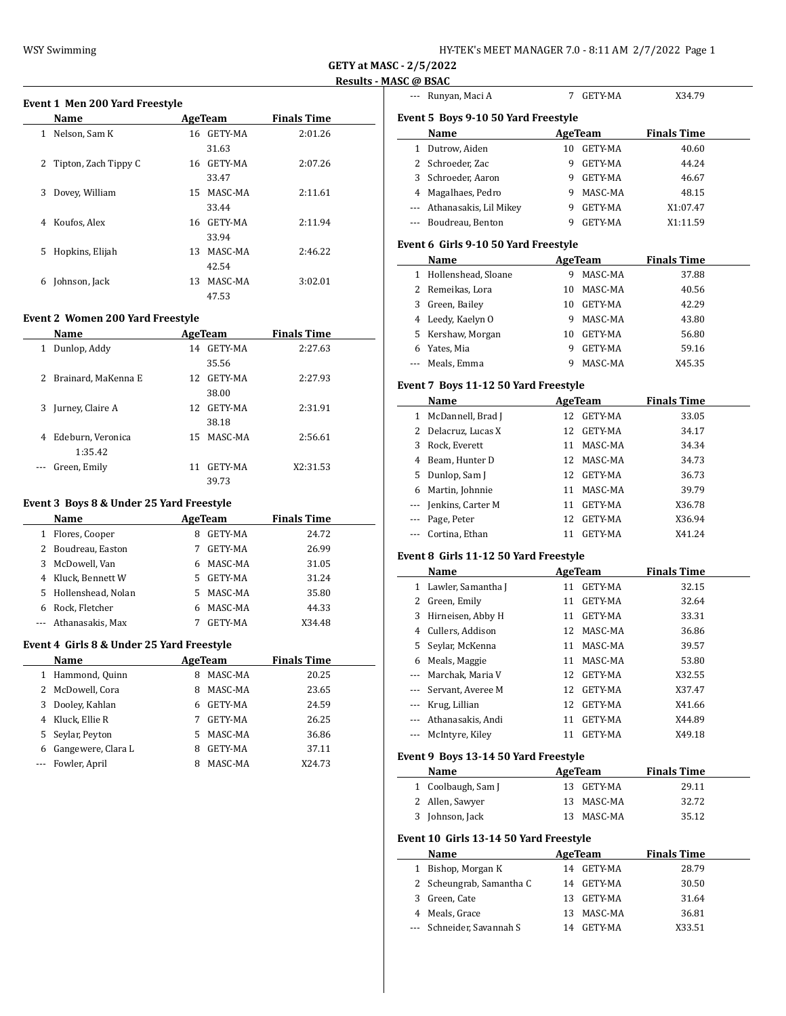| HY-TEK's MEET MANAGER 7.0 - 8:11 AM  2/7/2022  Page 1 |  |  |
|-------------------------------------------------------|--|--|
|-------------------------------------------------------|--|--|

--- Runyan, Maci A 7 GETY-MA X34.79

**GETY at MASC - 2/5/2022 Results - MASC @ BSAC**

### **Event 1 Men 200 Yard Freestyle**

| <b>Name</b>                   | AgeTeam        | <b>Finals Time</b> |  |
|-------------------------------|----------------|--------------------|--|
| Nelson, Sam K<br>$\mathbf{1}$ | 16 GETY-MA     | 2:01.26            |  |
|                               | 31.63          |                    |  |
| 2<br>Tipton, Zach Tippy C     | 16 GETY-MA     | 2:07.26            |  |
|                               | 33.47          |                    |  |
| Dovey, William<br>3           | 15 MASC-MA     | 2:11.61            |  |
|                               | 33.44          |                    |  |
| Koufos, Alex<br>4             | 16 GETY-MA     | 2:11.94            |  |
|                               | 33.94          |                    |  |
| 5<br>Hopkins, Elijah          | MASC-MA<br>13  | 2:46.22            |  |
|                               | 42.54          |                    |  |
| Johnson, Jack<br>6            | MASC-MA<br>13. | 3:02.01            |  |
|                               | 47.53          |                    |  |

#### **Event 2 Women 200 Yard Freestyle**

|     | <b>Name</b>           |     | AgeTeam    | <b>Finals Time</b> |
|-----|-----------------------|-----|------------|--------------------|
| 1   | Dunlop, Addy          |     | 14 GETY-MA | 2:27.63            |
|     |                       |     | 35.56      |                    |
|     | 2 Brainard, MaKenna E |     | 12 GETY-MA | 2:27.93            |
|     |                       |     | 38.00      |                    |
| 3   | Jurney, Claire A      | 12. | GETY-MA    | 2:31.91            |
|     |                       |     | 38.18      |                    |
| 4   | Edeburn, Veronica     |     | 15 MASC-MA | 2:56.61            |
|     | 1:35.42               |     |            |                    |
| --- | Green, Emily          | 11  | GETY-MA    | X2:31.53           |
|     |                       |     | 39.73      |                    |

#### **Event 3 Boys 8 & Under 25 Yard Freestyle**

|   | Name                 |    | AgeTeam | <b>Finals Time</b> |  |
|---|----------------------|----|---------|--------------------|--|
|   | 1 Flores, Cooper     | 8  | GETY-MA | 24.72              |  |
|   | 2 Boudreau, Easton   |    | GETY-MA | 26.99              |  |
|   | 3 McDowell, Van      |    | MASC-MA | 31.05              |  |
| 4 | Kluck, Bennett W     | 5. | GETY-MA | 31.24              |  |
|   | 5 Hollenshead, Nolan | 5. | MASC-MA | 35.80              |  |
| 6 | Rock, Fletcher       |    | MASC-MA | 44.33              |  |
|   | --- Athanasakis, Max |    | GETY-MA | X34.48             |  |

#### **Event 4 Girls 8 & Under 25 Yard Freestyle**

|   | <b>Name</b>        |    | AgeTeam | <b>Finals Time</b> |
|---|--------------------|----|---------|--------------------|
|   | 1 Hammond, Quinn   | 8  | MASC-MA | 20.25              |
|   | 2 McDowell, Cora   | 8  | MASC-MA | 23.65              |
| 3 | Dooley, Kahlan     | 6  | GETY-MA | 24.59              |
|   | 4 Kluck, Ellie R   |    | GETY-MA | 26.25              |
|   | 5 Seylar, Peyton   | 5. | MASC-MA | 36.86              |
| 6 | Gangewere, Clara L | 8  | GETY-MA | 37.11              |
|   | Fowler, April      | 8  | MASC-MA | X24.73             |

|   | Event 5 Boys 9-10 50 Yard Freestyle  |    |         |                    |  |
|---|--------------------------------------|----|---------|--------------------|--|
|   | Name                                 |    | AgeTeam | <b>Finals Time</b> |  |
| 1 | Dutrow, Aiden                        | 10 | GETY-MA | 40.60              |  |
| 2 | Schroeder, Zac                       | 9  | GETY-MA | 44.24              |  |
| 3 | Schroeder, Aaron                     | 9  | GETY-MA | 46.67              |  |
| 4 | Magalhaes, Pedro                     | 9  | MASC-MA | 48.15              |  |
|   | Athanasakis, Lil Mikey               | 9  | GETY-MA | X1:07.47           |  |
|   | Boudreau, Benton                     | 9  | GETY-MA | X1:11.59           |  |
|   | Event 6 Girls 9-10 50 Yard Freestyle |    |         |                    |  |
|   | Name                                 |    | AgeTeam | <b>Finals Time</b> |  |
| 1 | Hollenshead, Sloane                  | 9  | MASC-MA | 37.88              |  |
| 2 | Remeikas, Lora                       | 10 | MASC-MA | 40.56              |  |
| 3 | Green, Bailey                        | 10 | GETY-MA | 42.29              |  |
| 4 | Leedy, Kaelyn O                      | 9  | MASC-MA | 43.80              |  |
| 5 | Kershaw, Morgan                      | 10 | GETY-MA | 56.80              |  |
|   |                                      |    |         |                    |  |

#### **Event 7 Boys 11-12 50 Yard Freestyle**

|   | Name                  |    | AgeTeam        | <b>Finals Time</b> |
|---|-----------------------|----|----------------|--------------------|
| 1 | McDannell, Brad J     | 12 | GETY-MA        | 33.05              |
|   | 2 Delacruz, Lucas X   | 12 | GETY-MA        | 34.17              |
|   | 3 Rock, Everett       | 11 | MASC-MA        | 34.34              |
| 4 | Beam, Hunter D        |    | 12 MASC-MA     | 34.73              |
|   | 5 Dunlop, Sam J       | 12 | GETY-MA        | 36.73              |
| 6 | Martin, Johnnie       | 11 | MASC-MA        | 39.79              |
|   | --- Jenkins, Carter M | 11 | GETY-MA        | X36.78             |
|   | --- Page, Peter       | 12 | <b>GETY-MA</b> | X36.94             |
|   | --- Cortina, Ethan    | 11 | <b>GETY-MA</b> | X41.24             |

--- Meals, Emma 9 MASC-MA X45.35

## **Event 8 Girls 11-12 50 Yard Freestyle**

|          | Name                 |    | AgeTeam        | <b>Finals Time</b> |
|----------|----------------------|----|----------------|--------------------|
|          | 1 Lawler, Samantha J | 11 | <b>GETY-MA</b> | 32.15              |
|          | 2 Green, Emily       | 11 | GETY-MA        | 32.64              |
| 3        | Hirneisen, Abby H    | 11 | <b>GETY-MA</b> | 33.31              |
|          | 4 Cullers, Addison   |    | 12 MASC-MA     | 36.86              |
|          | 5 Seylar, McKenna    | 11 | MASC-MA        | 39.57              |
| 6        | Meals, Maggie        | 11 | MASC-MA        | 53.80              |
| $\cdots$ | Marchak, Maria V     | 12 | GETY-MA        | X32.55             |
|          | Servant, Averee M    | 12 | GETY-MA        | X37.47             |
|          | Krug, Lillian        | 12 | GETY-MA        | X41.66             |
|          | Athanasakis, Andi    | 11 | GETY-MA        | X44.89             |
|          | McIntyre, Kiley      | 11 | GETY-MA        | X49.18             |
|          |                      |    |                |                    |

# **Event 9 Boys 13-14 50 Yard Freestyle**

| Name               | AgeTeam    | <b>Finals Time</b> |
|--------------------|------------|--------------------|
| 1 Coolbaugh, Sam J | 13 GETY-MA | 29.11              |
| 2 Allen, Sawyer    | 13 MASC-MA | 32.72              |
| 3 Johnson, Jack    | 13 MASC-MA | 35.12              |

## **Event 10 Girls 13-14 50 Yard Freestyle**

|   | Name                      |    | AgeTeam    | <b>Finals Time</b> |
|---|---------------------------|----|------------|--------------------|
| 1 | Bishop, Morgan K          |    | 14 GETY-MA | 28.79              |
|   | 2 Scheungrab, Samantha C  |    | 14 GETY-MA | 30.50              |
|   | 3 Green, Cate             |    | 13 GETY-MA | 31.64              |
|   | 4 Meals, Grace            |    | 13 MASC-MA | 36.81              |
|   | --- Schneider, Savannah S | 14 | GETY-MA    | X33.51             |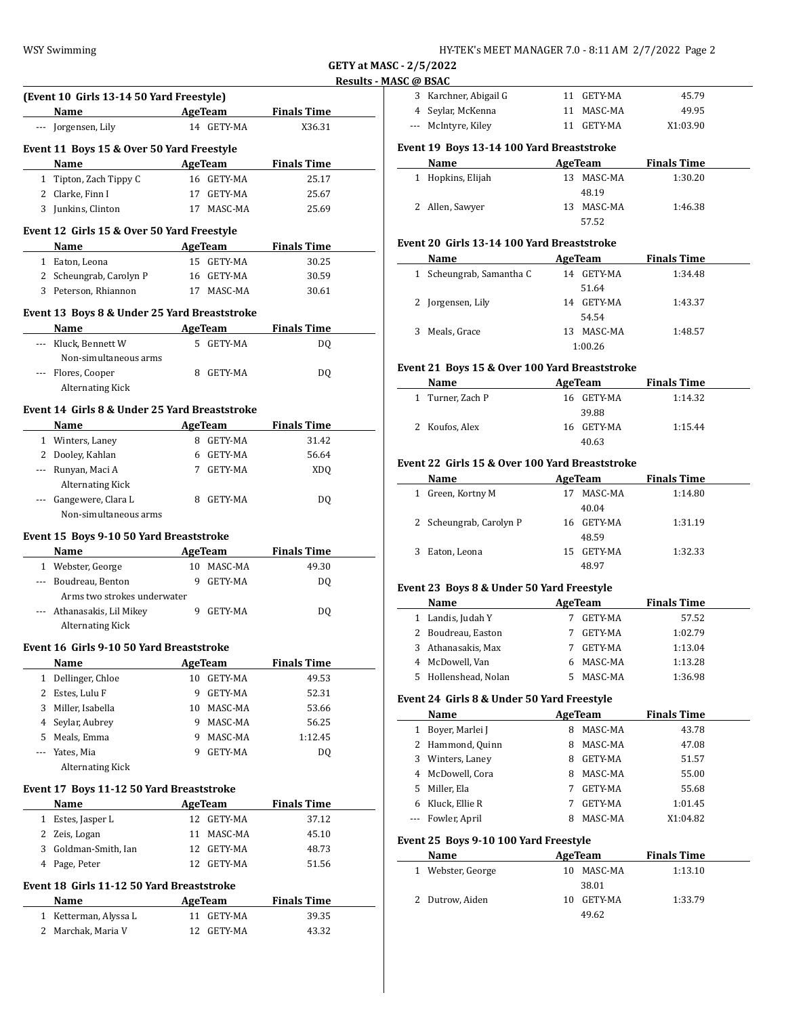| HY-TEK's MEET MANAGER 7.0 - 8:11 AM  2/7/2022  Page 2 |  |  |
|-------------------------------------------------------|--|--|
|-------------------------------------------------------|--|--|

 $\overline{\phantom{a}}$ 

 $\overline{a}$ 

 $\overline{\phantom{0}}$ 

|              |                                                                                                                                                                                                                               |    |                |                     | <u>nesuits - M</u> |
|--------------|-------------------------------------------------------------------------------------------------------------------------------------------------------------------------------------------------------------------------------|----|----------------|---------------------|--------------------|
|              | (Event 10 Girls 13-14 50 Yard Freestyle)                                                                                                                                                                                      |    |                |                     |                    |
|              | <b>Example 2.1 AgeTeam</b><br>Name                                                                                                                                                                                            |    |                | <b>Finals Time</b>  |                    |
|              | --- Jorgensen, Lily                                                                                                                                                                                                           |    | 14 GETY-MA     | X36.31              |                    |
|              | Event 11 Boys 15 & Over 50 Yard Freestyle                                                                                                                                                                                     |    |                |                     |                    |
|              | Name and the same state of the state of the state of the state of the state of the state of the state of the state of the state of the state of the state of the state of the state of the state of the state of the state of |    |                | AgeTeam Finals Time |                    |
|              | 1 Tipton, Zach Tippy C                                                                                                                                                                                                        |    | 16 GETY-MA     | 25.17               |                    |
|              | 2 Clarke, Finn I                                                                                                                                                                                                              |    | 17 GETY-MA     | 25.67               |                    |
|              | 3 Junkins, Clinton                                                                                                                                                                                                            |    | 17 MASC-MA     | 25.69               |                    |
|              |                                                                                                                                                                                                                               |    |                |                     |                    |
|              | Event 12 Girls 15 & Over 50 Yard Freestyle                                                                                                                                                                                    |    |                |                     |                    |
|              | Name<br><u> 1980 - Johann Barbara, martxa a</u>                                                                                                                                                                               |    |                | AgeTeam Finals Time |                    |
|              | 1 Eaton, Leona                                                                                                                                                                                                                |    | 15 GETY-MA     | 30.25               |                    |
|              | 2 Scheungrab, Carolyn P                                                                                                                                                                                                       |    | 16 GETY-MA     | 30.59               |                    |
|              | 3 Peterson, Rhiannon                                                                                                                                                                                                          |    | 17 MASC-MA     | 30.61               |                    |
|              | Event 13 Boys 8 & Under 25 Yard Breaststroke                                                                                                                                                                                  |    |                |                     |                    |
|              | Name                                                                                                                                                                                                                          |    | AgeTeam        | <b>Finals Time</b>  |                    |
|              | --- Kluck, Bennett W                                                                                                                                                                                                          |    | 5 GETY-MA      | DQ                  |                    |
|              | Non-simultaneous arms                                                                                                                                                                                                         |    |                |                     |                    |
|              | --- Flores, Cooper                                                                                                                                                                                                            |    | 8 GETY-MA      | DQ                  |                    |
|              | <b>Alternating Kick</b>                                                                                                                                                                                                       |    |                |                     |                    |
|              |                                                                                                                                                                                                                               |    |                |                     |                    |
|              | Event 14 Girls 8 & Under 25 Yard Breaststroke                                                                                                                                                                                 |    |                |                     |                    |
|              | Name AgeTeam Finals Time                                                                                                                                                                                                      |    |                |                     |                    |
|              | 1 Winters, Laney                                                                                                                                                                                                              |    | 8 GETY-MA      | 31.42               |                    |
|              | 2 Dooley, Kahlan                                                                                                                                                                                                              |    | 6 GETY-MA      | 56.64               |                    |
|              | --- Runyan, Maci A                                                                                                                                                                                                            |    | 7 GETY-MA      | <b>XDQ</b>          |                    |
|              | <b>Alternating Kick</b>                                                                                                                                                                                                       |    |                |                     |                    |
|              | --- Gangewere, Clara L                                                                                                                                                                                                        |    | 8 GETY-MA      | DQ                  |                    |
|              | Non-simultaneous arms                                                                                                                                                                                                         |    |                |                     |                    |
|              | Event 15 Boys 9-10 50 Yard Breaststroke                                                                                                                                                                                       |    |                |                     |                    |
|              | Name                                                                                                                                                                                                                          |    | AgeTeam        | <b>Finals Time</b>  |                    |
|              | 1 Webster, George                                                                                                                                                                                                             |    | 10 MASC-MA     | 49.30               |                    |
|              | --- Boudreau, Benton                                                                                                                                                                                                          |    | 9 GETY-MA      | DQ                  |                    |
|              | Arms two strokes underwater                                                                                                                                                                                                   |    |                |                     |                    |
|              | --- Athanasakis, Lil Mikey                                                                                                                                                                                                    |    | 9 GETY-MA      | DQ                  |                    |
|              | Alternating Kick                                                                                                                                                                                                              |    |                |                     |                    |
|              | Event 16 Girls 9-10 50 Yard Breaststroke                                                                                                                                                                                      |    |                |                     |                    |
|              | Name                                                                                                                                                                                                                          |    | <b>AgeTeam</b> | <b>Finals Time</b>  |                    |
| 1            | Dellinger, Chloe                                                                                                                                                                                                              | 10 | GETY-MA        | 49.53               |                    |
| 2            | Estes, Lulu F                                                                                                                                                                                                                 | 9  | GETY-MA        | 52.31               |                    |
| 3            | Miller, Isabella                                                                                                                                                                                                              | 10 | MASC-MA        | 53.66               |                    |
| 4            | Seylar, Aubrey                                                                                                                                                                                                                |    | 9 MASC-MA      | 56.25               |                    |
|              | 5 Meals, Emma                                                                                                                                                                                                                 | 9. | MASC-MA        | 1:12.45             |                    |
| ---          | Yates, Mia                                                                                                                                                                                                                    | 9  | GETY-MA        | DQ                  |                    |
|              | <b>Alternating Kick</b>                                                                                                                                                                                                       |    |                |                     |                    |
|              |                                                                                                                                                                                                                               |    |                |                     |                    |
|              | Event 17 Boys 11-12 50 Yard Breaststroke                                                                                                                                                                                      |    |                |                     |                    |
|              | <b>Name</b>                                                                                                                                                                                                                   |    | <b>AgeTeam</b> | <b>Finals Time</b>  |                    |
| $\mathbf{1}$ | Estes, Jasper L                                                                                                                                                                                                               |    | 12 GETY-MA     | 37.12               |                    |
|              | 2 Zeis, Logan                                                                                                                                                                                                                 |    | 11 MASC-MA     | 45.10               |                    |
|              | 3 Goldman-Smith, Ian                                                                                                                                                                                                          |    | 12 GETY-MA     | 48.73               |                    |
|              | 4 Page, Peter                                                                                                                                                                                                                 |    | 12 GETY-MA     | 51.56               |                    |
|              | Event 18 Girls 11-12 50 Yard Breaststroke                                                                                                                                                                                     |    |                |                     |                    |
|              | Name                                                                                                                                                                                                                          |    | <b>AgeTeam</b> | <b>Finals Time</b>  |                    |
| $\mathbf{1}$ | Ketterman, Alyssa L                                                                                                                                                                                                           |    | 11 GETY-MA     | 39.35               |                    |

2 Marchak, Maria V 12 GETY-MA 43.32

| IJL W DJAL                                |                       |    |                |                    |  |
|-------------------------------------------|-----------------------|----|----------------|--------------------|--|
|                                           | 3 Karchner, Abigail G | 11 | <b>GETY-MA</b> | 45.79              |  |
|                                           | 4 Seylar, McKenna     | 11 | MASC-MA        | 49.95              |  |
|                                           | --- McIntyre, Kiley   | 11 | GETY-MA        | X1:03.90           |  |
| Event 19 Boys 13-14 100 Yard Breaststroke |                       |    |                |                    |  |
|                                           |                       |    |                |                    |  |
|                                           | Name                  |    | AgeTeam        | <b>Finals Time</b> |  |
|                                           | Hopkins, Elijah       |    | 13 MASC-MA     | 1:30.20            |  |
|                                           |                       |    | 48.19          |                    |  |

57.52

#### **Event 20 Girls 13-14 100 Yard Breaststroke**

| Name                        | AgeTeam        | <b>Finals Time</b> |
|-----------------------------|----------------|--------------------|
| Scheungrab, Samantha C<br>1 | GETY-MA<br>14  | 1:34.48            |
|                             | 51.64          |                    |
| 2 Jorgensen, Lily           | GETY-MA<br>14  | 1:43.37            |
|                             | 54.54          |                    |
| Meals, Grace<br>3           | MASC-MA<br>13. | 1:48.57            |
|                             | 1:00.26        |                    |

### **Event 21 Boys 15 & Over 100 Yard Breaststroke**

| Name             | AgeTeam    | <b>Finals Time</b> |  |
|------------------|------------|--------------------|--|
| 1 Turner, Zach P | 16 GETY-MA | 1:14.32            |  |
|                  | 39.88      |                    |  |
| 2 Koufos, Alex   | 16 GETY-MA | 1:15.44            |  |
|                  | 40.63      |                    |  |

## **Event 22 Girls 15 & Over 100 Yard Breaststroke**

|   | Name                    | AgeTeam |            | <b>Finals Time</b> |
|---|-------------------------|---------|------------|--------------------|
| 1 | Green, Kortny M         |         | MASC-MA    | 1:14.80            |
|   |                         |         | 40.04      |                    |
|   | 2 Scheungrab, Carolyn P |         | 16 GETY-MA | 1:31.19            |
|   |                         |         | 48.59      |                    |
|   | Eaton, Leona            | 15.     | GETY-MA    | 1:32.33            |
|   |                         |         | 48.97      |                    |

#### **Event 23 Boys 8 & Under 50 Yard Freestyle**

| Name                 | AgeTeam |         | <b>Finals Time</b> |  |
|----------------------|---------|---------|--------------------|--|
| 1 Landis, Judah Y    |         | GETY-MA | 57.52              |  |
| 2 Boudreau, Easton   |         | GETY-MA | 1:02.79            |  |
| 3 Athanasakis, Max   |         | GETY-MA | 1:13.04            |  |
| 4 McDowell, Van      | 6.      | MASC-MA | 1:13.28            |  |
| 5 Hollenshead, Nolan | 5.      | MASC-MA | 1:36.98            |  |

## **Event 24 Girls 8 & Under 50 Yard Freestyle**

|   | Name             |   | AgeTeam        | <b>Finals Time</b> |  |
|---|------------------|---|----------------|--------------------|--|
|   | Boyer, Marlei J  | 8 | MASC-MA        | 43.78              |  |
|   | 2 Hammond, Quinn | 8 | MASC-MA        | 47.08              |  |
| 3 | Winters, Laney   | 8 | <b>GETY-MA</b> | 51.57              |  |
| 4 | McDowell, Cora   | 8 | MASC-MA        | 55.00              |  |
| 5 | Miller, Ela      | 7 | GETY-MA        | 55.68              |  |
|   | Kluck, Ellie R   | 7 | <b>GETY-MA</b> | 1:01.45            |  |
|   | Fowler, April    | 8 | MASC-MA        | X1:04.82           |  |

## **Event 25 Boys 9-10 100 Yard Freestyle**

| Name            | AgeTeam |         | <b>Finals Time</b> |
|-----------------|---------|---------|--------------------|
| Webster, George | 10      | MASC-MA | 1:13.10            |
|                 |         | 38.01   |                    |
| 2 Dutrow, Aiden | 10      | GETY-MA | 1:33.79            |
|                 |         | 49.62   |                    |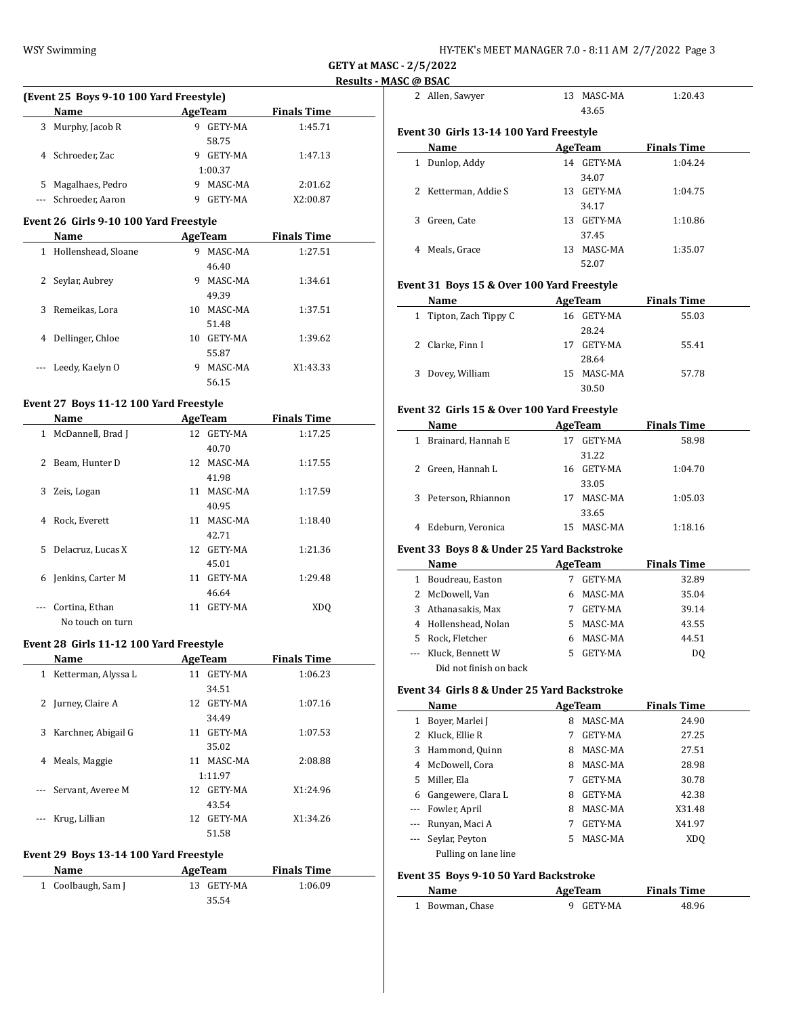| HY-TEK's MEET MANAGER 7.0 - 8:11 AM  2/7/2022  Page 3 |  |  |
|-------------------------------------------------------|--|--|
|-------------------------------------------------------|--|--|

|    | (Event 25 Boys 9-10 100 Yard Freestyle) |   |                |                    |  |  |
|----|-----------------------------------------|---|----------------|--------------------|--|--|
|    | Name                                    |   | AgeTeam        | <b>Finals Time</b> |  |  |
| 3. | Murphy, Jacob R                         | 9 | GETY-MA        | 1:45.71            |  |  |
|    |                                         |   | 58.75          |                    |  |  |
|    | 4 Schroeder, Zac                        | 9 | <b>GETY-MA</b> | 1:47.13            |  |  |
|    |                                         |   | 1:00.37        |                    |  |  |
| 5. | Magalhaes, Pedro                        | 9 | MASC-MA        | 2:01.62            |  |  |
|    | Schroeder, Aaron                        |   | <b>GETY-MA</b> | X2:00.87           |  |  |

## **Event 26 Girls 9-10 100 Yard Freestyle**

|              | <b>Name</b>         |    | AgeTeam | <b>Finals Time</b> |
|--------------|---------------------|----|---------|--------------------|
| 1            | Hollenshead, Sloane | 9  | MASC-MA | 1:27.51            |
|              |                     |    | 46.40   |                    |
| $\mathbf{Z}$ | Seylar, Aubrey      | 9  | MASC-MA | 1:34.61            |
|              |                     |    | 49.39   |                    |
| 3            | Remeikas, Lora      | 10 | MASC-MA | 1:37.51            |
|              |                     |    | 51.48   |                    |
| 4            | Dellinger, Chloe    | 10 | GETY-MA | 1:39.62            |
|              |                     |    | 55.87   |                    |
|              | Leedy, Kaelyn O     | 9  | MASC-MA | X1:43.33           |
|              |                     |    | 56.15   |                    |

# **Event 27 Boys 11-12 100 Yard Freestyle**

|   | Name                |    | AgeTeam    | <b>Finals Time</b> |
|---|---------------------|----|------------|--------------------|
| 1 | McDannell, Brad J   |    | 12 GETY-MA | 1:17.25            |
|   |                     |    | 40.70      |                    |
| 2 | Beam, Hunter D      |    | 12 MASC-MA | 1:17.55            |
|   |                     |    | 41.98      |                    |
| 3 | Zeis, Logan         |    | 11 MASC-MA | 1:17.59            |
|   |                     |    | 40.95      |                    |
| 4 | Rock, Everett       |    | 11 MASC-MA | 1:18.40            |
|   |                     |    | 42.71      |                    |
|   | 5 Delacruz, Lucas X |    | 12 GETY-MA | 1:21.36            |
|   |                     |    | 45.01      |                    |
|   | 6 Jenkins, Carter M | 11 | GETY-MA    | 1:29.48            |
|   |                     |    | 46.64      |                    |
|   | Cortina, Ethan      | 11 | GETY-MA    | XDO                |
|   | No touch on turn    |    |            |                    |

#### **Event 28 Girls 11-12 100 Yard Freestyle**

|               | Name                |     | AgeTeam    | <b>Finals Time</b> |
|---------------|---------------------|-----|------------|--------------------|
| 1             | Ketterman, Alyssa L | 11  | GETY-MA    | 1:06.23            |
|               |                     |     | 34.51      |                    |
| 2             | Jurney, Claire A    | 12. | GETY-MA    | 1:07.16            |
|               |                     |     | 34.49      |                    |
| 3             | Karchner, Abigail G | 11  | GETY-MA    | 1:07.53            |
|               |                     |     | 35.02      |                    |
| 4             | Meals, Maggie       |     | 11 MASC-MA | 2:08.88            |
|               |                     |     | 1:11.97    |                    |
| $\frac{1}{2}$ | Servant, Averee M   |     | 12 GETY-MA | X1:24.96           |
|               |                     |     | 43.54      |                    |
|               | Krug, Lillian       | 12. | GETY-MA    | X1:34.26           |
|               |                     |     | 51.58      |                    |

## **Event 29 Boys 13-14 100 Yard Freestyle**

| Name               | AgeTeam    | <b>Finals Time</b> |
|--------------------|------------|--------------------|
| 1 Coolbaugh, Sam J | 13 GETY-MA | 1:06.09            |
|                    | 35.54      |                    |

|   | 2 Allen, Sawyer                         | 13  | MASC-MA    | 1:20.43            |
|---|-----------------------------------------|-----|------------|--------------------|
|   |                                         |     | 43.65      |                    |
|   | Event 30 Girls 13-14 100 Yard Freestyle |     |            |                    |
|   | Name                                    |     | AgeTeam    | <b>Finals Time</b> |
| 1 | Dunlop, Addy                            |     | 14 GETY-MA | 1:04.24            |
|   |                                         |     | 34.07      |                    |
|   | 2 Ketterman, Addie S                    | 13. | GETY-MA    | 1:04.75            |
|   |                                         |     | 34.17      |                    |
| 3 | Green, Cate                             | 13  | GETY-MA    | 1:10.86            |
|   |                                         |     | 37.45      |                    |
| 4 | Meals, Grace                            | 13  | MASC-MA    | 1:35.07            |
|   |                                         |     | 52.07      |                    |
|   |                                         |     |            |                    |

## **Event 31 Boys 15 & Over 100 Yard Freestyle**

| Name                   | AgeTeam        | <b>Finals Time</b> |  |
|------------------------|----------------|--------------------|--|
| 1 Tipton, Zach Tippy C | 16 GETY-MA     | 55.03              |  |
|                        | 28.24          |                    |  |
| 2 Clarke, Finn I       | GETY-MA<br>17  | 55.41              |  |
|                        | 28.64          |                    |  |
| 3 Dovey, William       | MASC-MA<br>15. | 57.78              |  |
|                        | 30.50          |                    |  |

## **Event 32 Girls 15 & Over 100 Yard Freestyle**

| Name                               | AgeTeam |         | <b>Finals Time</b> |  |
|------------------------------------|---------|---------|--------------------|--|
| Brainard, Hannah E<br>$\mathbf{1}$ | 17      | GETY-MA | 58.98              |  |
|                                    |         | 31.22   |                    |  |
| 2 Green, Hannah L                  | 16.     | GETY-MA | 1:04.70            |  |
|                                    |         | 33.05   |                    |  |
| 3 Peterson, Rhiannon               | 17      | MASC-MA | 1:05.03            |  |
|                                    |         | 33.65   |                    |  |
| Edeburn, Veronica<br>4             | 15.     | MASC-MA | 1:18.16            |  |
|                                    |         |         |                    |  |

# **Event 33 Boys 8 & Under 25 Yard Backstroke**

|   | Name                   |    | AgeTeam        | <b>Finals Time</b> |
|---|------------------------|----|----------------|--------------------|
| 1 | Boudreau, Easton       |    | <b>GETY-MA</b> | 32.89              |
|   | 2 McDowell, Van        |    | MASC-MA        | 35.04              |
|   | 3 Athanasakis, Max     |    | GETY-MA        | 39.14              |
|   | 4 Hollenshead, Nolan   | 5. | MASC-MA        | 43.55              |
|   | 5 Rock, Fletcher       |    | MASC-MA        | 44.51              |
|   | Kluck, Bennett W       |    | <b>GETY-MA</b> | DO.                |
|   | Did not finish on back |    |                |                    |

### **Event 34 Girls 8 & Under 25 Yard Backstroke**

|          | Name                 |    | AgeTeam | <b>Finals Time</b> |
|----------|----------------------|----|---------|--------------------|
| 1        | Bover, Marlei J      | 8  | MASC-MA | 24.90              |
|          | Kluck, Ellie R       |    | GETY-MA | 27.25              |
| 3        | Hammond, Quinn       | 8  | MASC-MA | 27.51              |
| 4        | McDowell. Cora       | 8  | MASC-MA | 28.98              |
| 5.       | Miller, Ela          | 7  | GETY-MA | 30.78              |
| 6        | Gangewere, Clara L   | 8  | GETY-MA | 42.38              |
| $\cdots$ | Fowler, April        | 8  | MASC-MA | X31.48             |
|          | Runyan, Maci A       |    | GETY-MA | X41.97             |
|          | Seylar, Peyton       | 5. | MASC-MA | XD <sub>0</sub>    |
|          | Pulling on lane line |    |         |                    |

## **Event 35 Boys 9-10 50 Yard Backstroke**

 $\overline{\phantom{a}}$ 

| Name            | AgeTeam   | <b>Finals Time</b> |  |
|-----------------|-----------|--------------------|--|
| 1 Bowman, Chase | 9 GETY-MA | 48.96              |  |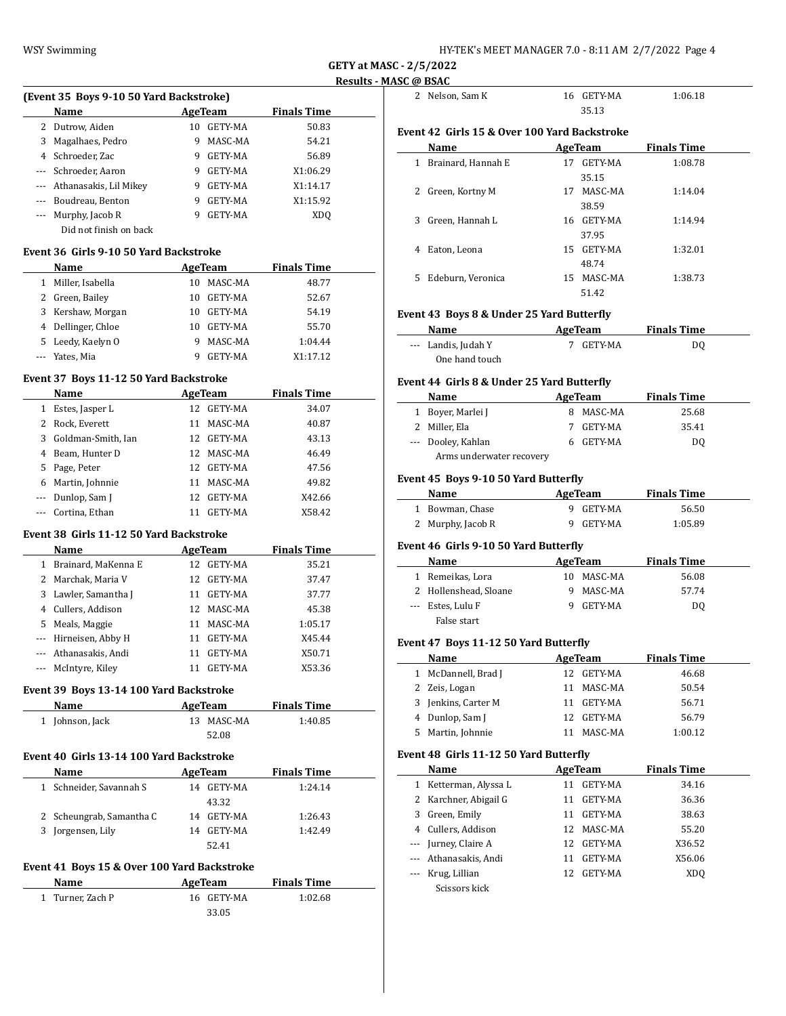**GETY at MASC - 2/5/2022 Results - MASC @ BSAC**

| (Event 35 Boys 9-10 50 Yard Backstroke)       |                                                                                                                                                                                                                                                                                                                                                                                                                             |            |                                                                                                                                                                                                                                                                                                                                                                                                                                                                                                                                                                                                                                                                                                                                                                                                                                 |                                                                                                                                                                                                                                            |
|-----------------------------------------------|-----------------------------------------------------------------------------------------------------------------------------------------------------------------------------------------------------------------------------------------------------------------------------------------------------------------------------------------------------------------------------------------------------------------------------|------------|---------------------------------------------------------------------------------------------------------------------------------------------------------------------------------------------------------------------------------------------------------------------------------------------------------------------------------------------------------------------------------------------------------------------------------------------------------------------------------------------------------------------------------------------------------------------------------------------------------------------------------------------------------------------------------------------------------------------------------------------------------------------------------------------------------------------------------|--------------------------------------------------------------------------------------------------------------------------------------------------------------------------------------------------------------------------------------------|
| Name                                          | <b>AgeTeam</b>                                                                                                                                                                                                                                                                                                                                                                                                              |            | <b>Finals Time</b>                                                                                                                                                                                                                                                                                                                                                                                                                                                                                                                                                                                                                                                                                                                                                                                                              |                                                                                                                                                                                                                                            |
| 2 Dutrow, Aiden                               |                                                                                                                                                                                                                                                                                                                                                                                                                             |            | 50.83                                                                                                                                                                                                                                                                                                                                                                                                                                                                                                                                                                                                                                                                                                                                                                                                                           |                                                                                                                                                                                                                                            |
| Magalhaes, Pedro                              | 9                                                                                                                                                                                                                                                                                                                                                                                                                           |            | 54.21                                                                                                                                                                                                                                                                                                                                                                                                                                                                                                                                                                                                                                                                                                                                                                                                                           |                                                                                                                                                                                                                                            |
| 4 Schroeder, Zac                              |                                                                                                                                                                                                                                                                                                                                                                                                                             |            | 56.89                                                                                                                                                                                                                                                                                                                                                                                                                                                                                                                                                                                                                                                                                                                                                                                                                           |                                                                                                                                                                                                                                            |
| --- Schroeder, Aaron                          |                                                                                                                                                                                                                                                                                                                                                                                                                             |            | X1:06.29                                                                                                                                                                                                                                                                                                                                                                                                                                                                                                                                                                                                                                                                                                                                                                                                                        |                                                                                                                                                                                                                                            |
| --- Athanasakis, Lil Mikey                    |                                                                                                                                                                                                                                                                                                                                                                                                                             |            | X1:14.17                                                                                                                                                                                                                                                                                                                                                                                                                                                                                                                                                                                                                                                                                                                                                                                                                        |                                                                                                                                                                                                                                            |
| --- Boudreau, Benton                          |                                                                                                                                                                                                                                                                                                                                                                                                                             |            | X1:15.92                                                                                                                                                                                                                                                                                                                                                                                                                                                                                                                                                                                                                                                                                                                                                                                                                        |                                                                                                                                                                                                                                            |
| --- Murphy, Jacob R<br>Did not finish on back |                                                                                                                                                                                                                                                                                                                                                                                                                             |            | XDQ                                                                                                                                                                                                                                                                                                                                                                                                                                                                                                                                                                                                                                                                                                                                                                                                                             |                                                                                                                                                                                                                                            |
|                                               |                                                                                                                                                                                                                                                                                                                                                                                                                             |            |                                                                                                                                                                                                                                                                                                                                                                                                                                                                                                                                                                                                                                                                                                                                                                                                                                 |                                                                                                                                                                                                                                            |
| Name                                          |                                                                                                                                                                                                                                                                                                                                                                                                                             |            | <b>Finals Time</b>                                                                                                                                                                                                                                                                                                                                                                                                                                                                                                                                                                                                                                                                                                                                                                                                              |                                                                                                                                                                                                                                            |
| 1 Miller, Isabella                            |                                                                                                                                                                                                                                                                                                                                                                                                                             |            | 48.77                                                                                                                                                                                                                                                                                                                                                                                                                                                                                                                                                                                                                                                                                                                                                                                                                           |                                                                                                                                                                                                                                            |
| 2 Green, Bailey                               |                                                                                                                                                                                                                                                                                                                                                                                                                             |            | 52.67                                                                                                                                                                                                                                                                                                                                                                                                                                                                                                                                                                                                                                                                                                                                                                                                                           |                                                                                                                                                                                                                                            |
| 3 Kershaw, Morgan                             |                                                                                                                                                                                                                                                                                                                                                                                                                             |            | 54.19                                                                                                                                                                                                                                                                                                                                                                                                                                                                                                                                                                                                                                                                                                                                                                                                                           |                                                                                                                                                                                                                                            |
| 4 Dellinger, Chloe                            |                                                                                                                                                                                                                                                                                                                                                                                                                             |            | 55.70                                                                                                                                                                                                                                                                                                                                                                                                                                                                                                                                                                                                                                                                                                                                                                                                                           |                                                                                                                                                                                                                                            |
| 5 Leedy, Kaelyn O                             | 9                                                                                                                                                                                                                                                                                                                                                                                                                           |            | 1:04.44                                                                                                                                                                                                                                                                                                                                                                                                                                                                                                                                                                                                                                                                                                                                                                                                                         |                                                                                                                                                                                                                                            |
| --- Yates, Mia                                |                                                                                                                                                                                                                                                                                                                                                                                                                             |            | X1:17.12                                                                                                                                                                                                                                                                                                                                                                                                                                                                                                                                                                                                                                                                                                                                                                                                                        |                                                                                                                                                                                                                                            |
|                                               |                                                                                                                                                                                                                                                                                                                                                                                                                             |            |                                                                                                                                                                                                                                                                                                                                                                                                                                                                                                                                                                                                                                                                                                                                                                                                                                 |                                                                                                                                                                                                                                            |
|                                               |                                                                                                                                                                                                                                                                                                                                                                                                                             |            |                                                                                                                                                                                                                                                                                                                                                                                                                                                                                                                                                                                                                                                                                                                                                                                                                                 |                                                                                                                                                                                                                                            |
|                                               |                                                                                                                                                                                                                                                                                                                                                                                                                             |            |                                                                                                                                                                                                                                                                                                                                                                                                                                                                                                                                                                                                                                                                                                                                                                                                                                 |                                                                                                                                                                                                                                            |
|                                               |                                                                                                                                                                                                                                                                                                                                                                                                                             |            |                                                                                                                                                                                                                                                                                                                                                                                                                                                                                                                                                                                                                                                                                                                                                                                                                                 |                                                                                                                                                                                                                                            |
|                                               |                                                                                                                                                                                                                                                                                                                                                                                                                             |            |                                                                                                                                                                                                                                                                                                                                                                                                                                                                                                                                                                                                                                                                                                                                                                                                                                 |                                                                                                                                                                                                                                            |
|                                               |                                                                                                                                                                                                                                                                                                                                                                                                                             |            |                                                                                                                                                                                                                                                                                                                                                                                                                                                                                                                                                                                                                                                                                                                                                                                                                                 |                                                                                                                                                                                                                                            |
|                                               |                                                                                                                                                                                                                                                                                                                                                                                                                             |            |                                                                                                                                                                                                                                                                                                                                                                                                                                                                                                                                                                                                                                                                                                                                                                                                                                 |                                                                                                                                                                                                                                            |
|                                               |                                                                                                                                                                                                                                                                                                                                                                                                                             |            |                                                                                                                                                                                                                                                                                                                                                                                                                                                                                                                                                                                                                                                                                                                                                                                                                                 |                                                                                                                                                                                                                                            |
|                                               |                                                                                                                                                                                                                                                                                                                                                                                                                             |            |                                                                                                                                                                                                                                                                                                                                                                                                                                                                                                                                                                                                                                                                                                                                                                                                                                 |                                                                                                                                                                                                                                            |
|                                               |                                                                                                                                                                                                                                                                                                                                                                                                                             |            |                                                                                                                                                                                                                                                                                                                                                                                                                                                                                                                                                                                                                                                                                                                                                                                                                                 |                                                                                                                                                                                                                                            |
|                                               |                                                                                                                                                                                                                                                                                                                                                                                                                             |            | X58.42                                                                                                                                                                                                                                                                                                                                                                                                                                                                                                                                                                                                                                                                                                                                                                                                                          |                                                                                                                                                                                                                                            |
|                                               |                                                                                                                                                                                                                                                                                                                                                                                                                             |            |                                                                                                                                                                                                                                                                                                                                                                                                                                                                                                                                                                                                                                                                                                                                                                                                                                 |                                                                                                                                                                                                                                            |
| Name                                          |                                                                                                                                                                                                                                                                                                                                                                                                                             |            |                                                                                                                                                                                                                                                                                                                                                                                                                                                                                                                                                                                                                                                                                                                                                                                                                                 |                                                                                                                                                                                                                                            |
|                                               |                                                                                                                                                                                                                                                                                                                                                                                                                             |            | 35.21                                                                                                                                                                                                                                                                                                                                                                                                                                                                                                                                                                                                                                                                                                                                                                                                                           |                                                                                                                                                                                                                                            |
|                                               |                                                                                                                                                                                                                                                                                                                                                                                                                             |            |                                                                                                                                                                                                                                                                                                                                                                                                                                                                                                                                                                                                                                                                                                                                                                                                                                 |                                                                                                                                                                                                                                            |
|                                               |                                                                                                                                                                                                                                                                                                                                                                                                                             |            |                                                                                                                                                                                                                                                                                                                                                                                                                                                                                                                                                                                                                                                                                                                                                                                                                                 |                                                                                                                                                                                                                                            |
|                                               |                                                                                                                                                                                                                                                                                                                                                                                                                             |            |                                                                                                                                                                                                                                                                                                                                                                                                                                                                                                                                                                                                                                                                                                                                                                                                                                 |                                                                                                                                                                                                                                            |
|                                               |                                                                                                                                                                                                                                                                                                                                                                                                                             |            |                                                                                                                                                                                                                                                                                                                                                                                                                                                                                                                                                                                                                                                                                                                                                                                                                                 |                                                                                                                                                                                                                                            |
|                                               |                                                                                                                                                                                                                                                                                                                                                                                                                             |            |                                                                                                                                                                                                                                                                                                                                                                                                                                                                                                                                                                                                                                                                                                                                                                                                                                 |                                                                                                                                                                                                                                            |
|                                               |                                                                                                                                                                                                                                                                                                                                                                                                                             |            |                                                                                                                                                                                                                                                                                                                                                                                                                                                                                                                                                                                                                                                                                                                                                                                                                                 |                                                                                                                                                                                                                                            |
|                                               |                                                                                                                                                                                                                                                                                                                                                                                                                             |            |                                                                                                                                                                                                                                                                                                                                                                                                                                                                                                                                                                                                                                                                                                                                                                                                                                 |                                                                                                                                                                                                                                            |
|                                               |                                                                                                                                                                                                                                                                                                                                                                                                                             |            |                                                                                                                                                                                                                                                                                                                                                                                                                                                                                                                                                                                                                                                                                                                                                                                                                                 |                                                                                                                                                                                                                                            |
|                                               |                                                                                                                                                                                                                                                                                                                                                                                                                             |            |                                                                                                                                                                                                                                                                                                                                                                                                                                                                                                                                                                                                                                                                                                                                                                                                                                 |                                                                                                                                                                                                                                            |
| Name                                          |                                                                                                                                                                                                                                                                                                                                                                                                                             |            | <b>Finals Time</b>                                                                                                                                                                                                                                                                                                                                                                                                                                                                                                                                                                                                                                                                                                                                                                                                              |                                                                                                                                                                                                                                            |
| 1 Johnson, Jack                               |                                                                                                                                                                                                                                                                                                                                                                                                                             |            | 1:40.85                                                                                                                                                                                                                                                                                                                                                                                                                                                                                                                                                                                                                                                                                                                                                                                                                         |                                                                                                                                                                                                                                            |
|                                               |                                                                                                                                                                                                                                                                                                                                                                                                                             |            |                                                                                                                                                                                                                                                                                                                                                                                                                                                                                                                                                                                                                                                                                                                                                                                                                                 |                                                                                                                                                                                                                                            |
|                                               |                                                                                                                                                                                                                                                                                                                                                                                                                             |            |                                                                                                                                                                                                                                                                                                                                                                                                                                                                                                                                                                                                                                                                                                                                                                                                                                 |                                                                                                                                                                                                                                            |
|                                               |                                                                                                                                                                                                                                                                                                                                                                                                                             |            |                                                                                                                                                                                                                                                                                                                                                                                                                                                                                                                                                                                                                                                                                                                                                                                                                                 |                                                                                                                                                                                                                                            |
|                                               |                                                                                                                                                                                                                                                                                                                                                                                                                             |            |                                                                                                                                                                                                                                                                                                                                                                                                                                                                                                                                                                                                                                                                                                                                                                                                                                 |                                                                                                                                                                                                                                            |
|                                               |                                                                                                                                                                                                                                                                                                                                                                                                                             |            |                                                                                                                                                                                                                                                                                                                                                                                                                                                                                                                                                                                                                                                                                                                                                                                                                                 |                                                                                                                                                                                                                                            |
|                                               |                                                                                                                                                                                                                                                                                                                                                                                                                             |            |                                                                                                                                                                                                                                                                                                                                                                                                                                                                                                                                                                                                                                                                                                                                                                                                                                 |                                                                                                                                                                                                                                            |
|                                               |                                                                                                                                                                                                                                                                                                                                                                                                                             |            |                                                                                                                                                                                                                                                                                                                                                                                                                                                                                                                                                                                                                                                                                                                                                                                                                                 |                                                                                                                                                                                                                                            |
| 3 Jorgensen, Lily                             |                                                                                                                                                                                                                                                                                                                                                                                                                             |            | 1:42.49                                                                                                                                                                                                                                                                                                                                                                                                                                                                                                                                                                                                                                                                                                                                                                                                                         |                                                                                                                                                                                                                                            |
|                                               |                                                                                                                                                                                                                                                                                                                                                                                                                             |            |                                                                                                                                                                                                                                                                                                                                                                                                                                                                                                                                                                                                                                                                                                                                                                                                                                 |                                                                                                                                                                                                                                            |
|                                               |                                                                                                                                                                                                                                                                                                                                                                                                                             |            |                                                                                                                                                                                                                                                                                                                                                                                                                                                                                                                                                                                                                                                                                                                                                                                                                                 |                                                                                                                                                                                                                                            |
| Name                                          | <b>AgeTeam</b>                                                                                                                                                                                                                                                                                                                                                                                                              |            | <b>Finals Time</b>                                                                                                                                                                                                                                                                                                                                                                                                                                                                                                                                                                                                                                                                                                                                                                                                              |                                                                                                                                                                                                                                            |
|                                               |                                                                                                                                                                                                                                                                                                                                                                                                                             |            |                                                                                                                                                                                                                                                                                                                                                                                                                                                                                                                                                                                                                                                                                                                                                                                                                                 |                                                                                                                                                                                                                                            |
| 1 Turner, Zach P                              |                                                                                                                                                                                                                                                                                                                                                                                                                             | 16 GETY-MA | 1:02.68                                                                                                                                                                                                                                                                                                                                                                                                                                                                                                                                                                                                                                                                                                                                                                                                                         |                                                                                                                                                                                                                                            |
| 3                                             | Name<br>1 Estes, Jasper L<br>2 Rock. Everett<br>Goldman-Smith, Ian<br>4 Beam, Hunter D<br>5 Page, Peter<br>6 Martin, Johnnie<br>--- Dunlop, Sam J<br>--- Cortina, Ethan<br>1 Brainard, MaKenna E<br>2 Marchak, Maria V<br>3 Lawler, Samantha J<br>4 Cullers, Addison<br>5 Meals, Maggie<br>--- Hirneisen, Abby H<br>Athanasakis, Andi<br>--- McIntyre, Kiley<br>Name<br>1 Schneider, Savannah S<br>2 Scheungrab, Samantha C |            | 10 GETY-MA<br>MASC-MA<br>9 GETY-MA<br>9 GETY-MA<br>9 GETY-MA<br>9 GETY-MA<br>9 GETY-MA<br>Event 36 Girls 9-10 50 Yard Backstroke<br>10 MASC-MA<br>10 GETY-MA<br>10 GETY-MA<br>10 GETY-MA<br>MASC-MA<br>9 GETY-MA<br>Event 37 Boys 11-12 50 Yard Backstroke<br><b>AgeTeam</b><br>12 GETY-MA<br>11 MASC-MA<br>12 GETY-MA<br>12 MASC-MA<br>12 GETY-MA<br>11 MASC-MA<br>12 GETY-MA<br>11 GETY-MA<br>Event 38 Girls 11-12 50 Yard Backstroke<br>AgeTeam<br>12 GETY-MA<br>12 GETY-MA<br>11 GETY-MA<br>12 MASC-MA<br>11 MASC-MA<br>11 GETY-MA<br>11 GETY-MA<br>11 GETY-MA<br>Event 39 Boys 13-14 100 Yard Backstroke<br><b>AgeTeam</b><br>13 MASC-MA<br>52.08<br>Event 40 Girls 13-14 100 Yard Backstroke<br><b>AgeTeam</b><br>14 GETY-MA<br>43.32<br>14 GETY-MA<br>14 GETY-MA<br>52.41<br>Event 41 Boys 15 & Over 100 Yard Backstroke | <b>AgeTeam</b><br><b>Finals Time</b><br>34.07<br>40.87<br>43.13<br>46.49<br>47.56<br>49.82<br>X42.66<br><b>Finals Time</b><br>37.47<br>37.77<br>45.38<br>1:05.17<br>X45.44<br>X50.71<br>X53.36<br><b>Finals Time</b><br>1:24.14<br>1:26.43 |

|     | SC @ BSAC                                                                                                                                                                                                                     |    |                        |                     |  |
|-----|-------------------------------------------------------------------------------------------------------------------------------------------------------------------------------------------------------------------------------|----|------------------------|---------------------|--|
|     | 2 Nelson, Sam K                                                                                                                                                                                                               |    | 16 GETY-MA             | 1:06.18             |  |
|     |                                                                                                                                                                                                                               |    | 35.13                  |                     |  |
|     | Event 42  Girls 15 & Over 100 Yard Backstroke                                                                                                                                                                                 |    |                        |                     |  |
|     | Name                                                                                                                                                                                                                          |    | AgeTeam                | <b>Finals Time</b>  |  |
|     | 1 Brainard, Hannah E                                                                                                                                                                                                          |    | 17 GETY-MA             | 1:08.78             |  |
|     |                                                                                                                                                                                                                               |    | 35.15                  |                     |  |
|     | 2 Green, Kortny M                                                                                                                                                                                                             |    | 17 MASC-MA             | 1:14.04             |  |
|     |                                                                                                                                                                                                                               |    | 38.59                  |                     |  |
|     | 3 Green, Hannah L                                                                                                                                                                                                             |    | 16 GETY-MA             | 1:14.94             |  |
|     |                                                                                                                                                                                                                               |    | 37.95                  |                     |  |
| 4   | Eaton, Leona                                                                                                                                                                                                                  |    | 15 GETY-MA             | 1:32.01             |  |
|     |                                                                                                                                                                                                                               |    | 48.74                  |                     |  |
| 5   | Edeburn, Veronica                                                                                                                                                                                                             |    | 15 MASC-MA             | 1:38.73             |  |
|     |                                                                                                                                                                                                                               |    | 51.42                  |                     |  |
|     | <b>Event 43 Boys 8 &amp; Under 25 Yard Butterfly</b>                                                                                                                                                                          |    |                        |                     |  |
|     | Name and the same state of the state of the state of the state of the state of the state of the state of the state of the state of the state of the state of the state of the state of the state of the state of the state of |    | AgeTeam                | <b>Finals Time</b>  |  |
|     | --- Landis, Judah Y                                                                                                                                                                                                           |    | 7 GETY-MA              | DQ                  |  |
|     | One hand touch                                                                                                                                                                                                                |    |                        |                     |  |
|     | Event 44 Girls 8 & Under 25 Yard Butterfly                                                                                                                                                                                    |    |                        |                     |  |
|     | <b>Name</b>                                                                                                                                                                                                                   |    |                        | AgeTeam Finals Time |  |
|     | 1 Boyer, Marlei J                                                                                                                                                                                                             |    | 8 MASC-MA              | 25.68               |  |
|     | 2 Miller, Ela                                                                                                                                                                                                                 |    | 7 GETY-MA              | 35.41               |  |
|     | --- Dooley, Kahlan                                                                                                                                                                                                            |    | 6 GETY-MA              | DQ                  |  |
|     | Arms underwater recovery                                                                                                                                                                                                      |    |                        |                     |  |
|     |                                                                                                                                                                                                                               |    |                        |                     |  |
|     | Event 45 Boys 9-10 50 Yard Butterfly                                                                                                                                                                                          |    |                        |                     |  |
|     | Name AgeTeam                                                                                                                                                                                                                  |    |                        | <b>Finals Time</b>  |  |
|     | 1 Bowman, Chase<br>2 Murphy, Jacob R                                                                                                                                                                                          |    | 9 GETY-MA<br>9 GETY-MA | 56.50<br>1:05.89    |  |
|     |                                                                                                                                                                                                                               |    |                        |                     |  |
|     | Event 46 Girls 9-10 50 Yard Butterfly                                                                                                                                                                                         |    |                        |                     |  |
|     | Name AgeTeam                                                                                                                                                                                                                  |    |                        | <b>Finals Time</b>  |  |
|     | 1 Remeikas, Lora                                                                                                                                                                                                              |    | 10 MASC-MA             | 56.08               |  |
|     | 2 Hollenshead, Sloane                                                                                                                                                                                                         |    | 9 MASC-MA              | 57.74               |  |
|     | --- Estes, Lulu F                                                                                                                                                                                                             |    | 9 GETY-MA              | DQ                  |  |
|     | False start                                                                                                                                                                                                                   |    |                        |                     |  |
|     | Event 47 Boys 11-12 50 Yard Butterfly                                                                                                                                                                                         |    |                        |                     |  |
|     | <b>Name</b>                                                                                                                                                                                                                   |    | <u>AgeTeam</u>         | <u>Finals Time</u>  |  |
| 1   | McDannell, Brad J                                                                                                                                                                                                             | 12 | GETY-MA                | 46.68               |  |
| 2   | Zeis, Logan                                                                                                                                                                                                                   | 11 | MASC-MA                | 50.54               |  |
| 3   | Jenkins, Carter M                                                                                                                                                                                                             | 11 | GETY-MA                | 56.71               |  |
| 4   | Dunlop, Sam J                                                                                                                                                                                                                 | 12 | GETY-MA                | 56.79               |  |
| 5   | Martin, Johnnie                                                                                                                                                                                                               | 11 | MASC-MA                | 1:00.12             |  |
|     | Event 48 Girls 11-12 50 Yard Butterfly                                                                                                                                                                                        |    |                        |                     |  |
|     | Name                                                                                                                                                                                                                          |    | AgeTeam                | <b>Finals Time</b>  |  |
| 1   | Ketterman, Alyssa L                                                                                                                                                                                                           | 11 | GETY-MA                | 34.16               |  |
| 2   | Karchner, Abigail G                                                                                                                                                                                                           | 11 | GETY-MA                | 36.36               |  |
| 3   | Green, Emily                                                                                                                                                                                                                  | 11 | GETY-MA                | 38.63               |  |
| 4   | Cullers, Addison                                                                                                                                                                                                              |    | 12 MASC-MA             | 55.20               |  |
| --- | Jurney, Claire A                                                                                                                                                                                                              | 12 | GETY-MA                | X36.52              |  |
| --- | Athanasakis, Andi                                                                                                                                                                                                             | 11 | GETY-MA                | X56.06              |  |
| --- | Krug, Lillian                                                                                                                                                                                                                 | 12 | GETY-MA                | XDQ                 |  |
|     | Scissors kick                                                                                                                                                                                                                 |    |                        |                     |  |
|     |                                                                                                                                                                                                                               |    |                        |                     |  |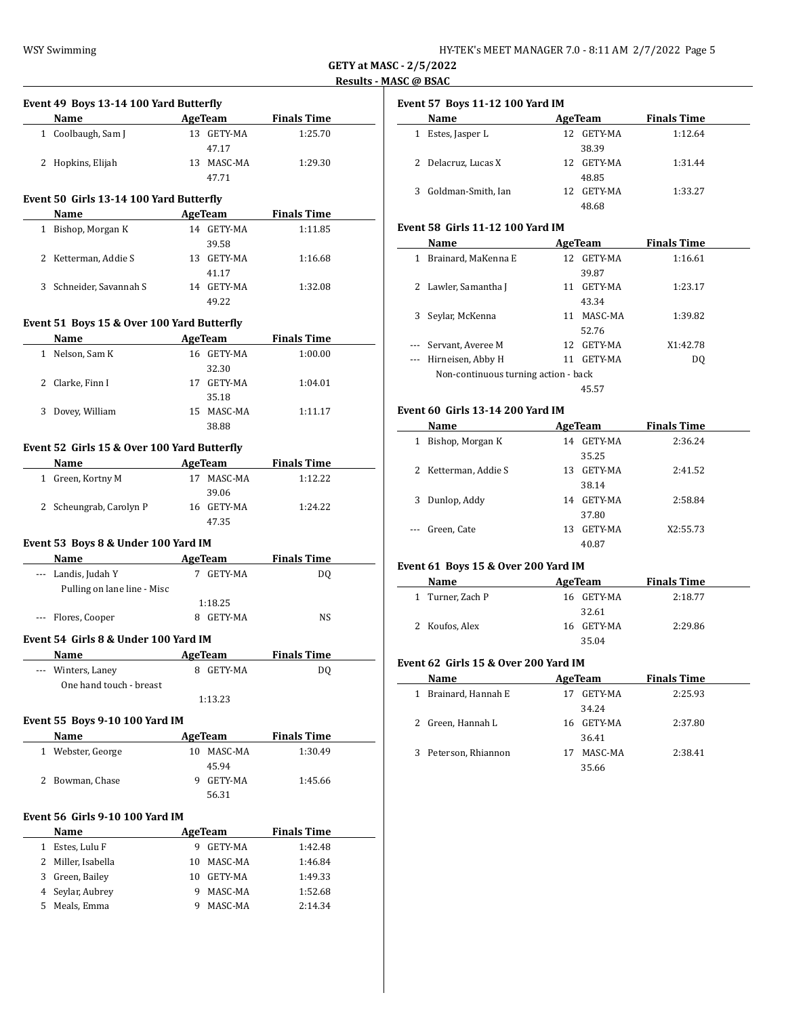$\overline{\phantom{a}}$ 

 $\overline{\phantom{a}}$ 

 $\frac{1}{2}$ 

|                                                |                          |                     |                    | Results - |
|------------------------------------------------|--------------------------|---------------------|--------------------|-----------|
| Event 49 Boys 13-14 100 Yard Butterfly<br>Name | <b>Example 2</b> AgeTeam |                     | <b>Finals Time</b> |           |
|                                                |                          |                     |                    |           |
| 1 Coolbaugh, Sam J                             |                          | 13 GETY-MA<br>47.17 | 1:25.70            |           |
| 2 Hopkins, Elijah                              |                          | 13 MASC-MA          | 1:29.30            |           |
|                                                |                          | 47.71               |                    |           |
|                                                |                          |                     |                    |           |
| Event 50 Girls 13-14 100 Yard Butterfly        |                          |                     |                    |           |
| Name                                           |                          | AgeTeam             | <b>Finals Time</b> |           |
| 1 Bishop, Morgan K                             |                          | 14 GETY-MA          | 1:11.85            |           |
|                                                |                          | 39.58               |                    |           |
| 2 Ketterman, Addie S                           |                          | 13 GETY-MA          | 1:16.68            |           |
|                                                |                          | 41.17               |                    |           |
| 3 Schneider, Savannah S                        |                          | 14 GETY-MA          | 1:32.08            |           |
|                                                |                          | 49.22               |                    |           |
| Event 51 Boys 15 & Over 100 Yard Butterfly     |                          |                     |                    |           |
| Name                                           | AgeTeam                  |                     | <b>Finals Time</b> |           |
| 1 Nelson, Sam K                                |                          | 16 GETY-MA          | 1:00.00            |           |
|                                                |                          | 32.30               |                    |           |
| 2 Clarke, Finn I                               |                          | 17 GETY-MA          | 1:04.01            |           |
|                                                |                          | 35.18               |                    |           |
| 3 Dovey, William                               |                          | 15 MASC-MA          | 1:11.17            |           |
|                                                |                          | 38.88               |                    |           |
|                                                |                          |                     |                    |           |
| Event 52 Girls 15 & Over 100 Yard Butterfly    |                          |                     |                    |           |
| Name                                           |                          | AgeTeam             | <b>Finals Time</b> |           |
| 1 Green, Kortny M                              |                          | 17 MASC-MA          | 1:12.22            |           |
|                                                |                          | 39.06               |                    |           |
| 2 Scheungrab, Carolyn P                        |                          | 16 GETY-MA          | 1:24.22            |           |
|                                                |                          | 47.35               |                    |           |
| Event 53 Boys 8 & Under 100 Yard IM            |                          |                     |                    |           |
| Name AgeTeam                                   |                          |                     | <b>Finals Time</b> |           |
| --- Landis, Judah Y                            |                          | 7 GETY-MA           | DQ                 |           |
| Pulling on lane line - Misc                    |                          |                     |                    |           |
|                                                | 1:18.25                  |                     |                    |           |
| --- Flores, Cooper                             |                          | 8 GETY-MA           | NS                 |           |
|                                                |                          |                     |                    |           |
| Event 54 Girls 8 & Under 100 Yard IM           |                          |                     |                    |           |
| <u>Name</u>                                    | <u>AgeTeam</u>           |                     | <u>Finals Time</u> |           |
| --- Winters, Laney                             |                          | 8 GETY-MA           | DQ                 |           |
| One hand touch - breast                        |                          |                     |                    |           |
|                                                | 1:13.23                  |                     |                    |           |
| Event 55 Boys 9-10 100 Yard IM                 |                          |                     |                    |           |
| Name                                           |                          | <b>AgeTeam</b>      | <b>Finals Time</b> |           |
| 1 Webster, George                              |                          | 10 MASC-MA          | 1:30.49            |           |
|                                                |                          | 45.94               |                    |           |
| 2 Bowman, Chase                                |                          | 9 GETY-MA           | 1:45.66            |           |
|                                                |                          | 56.31               |                    |           |
|                                                |                          |                     |                    |           |
| Event 56 Girls 9-10 100 Yard IM                |                          |                     |                    |           |
| Name                                           |                          | <b>AgeTeam</b>      | <b>Finals Time</b> |           |
| 1 Estes, Lulu F                                |                          | 9 GETY-MA           | 1:42.48            |           |
| 2 Miller, Isabella                             |                          | 10 MASC-MA          | 1:46.84            |           |
| 3 Green, Bailey                                |                          | 10 GETY-MA          | 1:49.33            |           |
| 4 Seylar, Aubrey                               |                          | 9 MASC-MA           | 1:52.68            |           |

5 Meals, Emma 9 MASC-MA 2:14.34

| <b>Event 57 Boys 11-12 100 Yard IM</b> |  |  |
|----------------------------------------|--|--|
|----------------------------------------|--|--|

| Name                     | AgeTeam        | <b>Finals Time</b> |
|--------------------------|----------------|--------------------|
| Estes, Jasper L<br>1     | 12 GETY-MA     | 1:12.64            |
|                          | 38.39          |                    |
| 2 Delacruz, Lucas X      | 12 GETY-MA     | 1:31.44            |
|                          | 48.85          |                    |
| Goldman-Smith, Ian<br>3. | GETY-MA<br>12. | 1:33.27            |
|                          | 48.68          |                    |

## **Event 58 Girls 11-12 100 Yard IM**

|          | Name                                 |    | AgeTeam    | <b>Finals Time</b> |
|----------|--------------------------------------|----|------------|--------------------|
|          | Brainard, MaKenna E                  |    | 12 GETY-MA | 1:16.61            |
|          |                                      |    | 39.87      |                    |
|          | Lawler, Samantha J                   | 11 | GETY-MA    | 1:23.17            |
|          |                                      |    | 43.34      |                    |
| 3        | Seylar, McKenna                      | 11 | MASC-MA    | 1:39.82            |
|          |                                      |    | 52.76      |                    |
| $\cdots$ | Servant, Averee M                    |    | 12 GETY-MA | X1:42.78           |
|          | Hirneisen, Abby H                    | 11 | GETY-MA    | D <sub>0</sub>     |
|          | Non-continuous turning action - back |    |            |                    |
|          |                                      |    | 45.57      |                    |
|          |                                      |    |            |                    |

## **Event 60 Girls 13-14 200 Yard IM**

|       | Name               |    | AgeTeam | <b>Finals Time</b> |  |
|-------|--------------------|----|---------|--------------------|--|
| 1     | Bishop, Morgan K   | 14 | GETY-MA | 2:36.24            |  |
|       |                    |    | 35.25   |                    |  |
| 2     | Ketterman, Addie S | 13 | GETY-MA | 2:41.52            |  |
|       |                    |    | 38.14   |                    |  |
| 3     | Dunlop, Addy       | 14 | GETY-MA | 2:58.84            |  |
|       |                    |    | 37.80   |                    |  |
| $---$ | Green, Cate        | 13 | GETY-MA | X2:55.73           |  |
|       |                    |    | 40.87   |                    |  |

# **Event 61 Boys 15 & Over 200 Yard IM**

| Name             | AgeTeam        | <b>Finals Time</b> |
|------------------|----------------|--------------------|
| 1 Turner, Zach P | 16 GETY-MA     | 2:18.77            |
|                  | 32.61          |                    |
| 2 Koufos, Alex   | GETY-MA<br>16. | 2:29.86            |
|                  | 35.04          |                    |

#### **Event 62 Girls 15 & Over 200 Yard IM**

| Name                    | AgeTeam       | <b>Finals Time</b> |  |
|-------------------------|---------------|--------------------|--|
| Brainard, Hannah E<br>1 | GETY-MA<br>17 | 2:25.93            |  |
|                         | 34.24         |                    |  |
| 2 Green, Hannah L       | 16 GETY-MA    | 2:37.80            |  |
|                         | 36.41         |                    |  |
| 3 Peterson, Rhiannon    | 17            | MASC-MA<br>2:38.41 |  |
|                         | 35.66         |                    |  |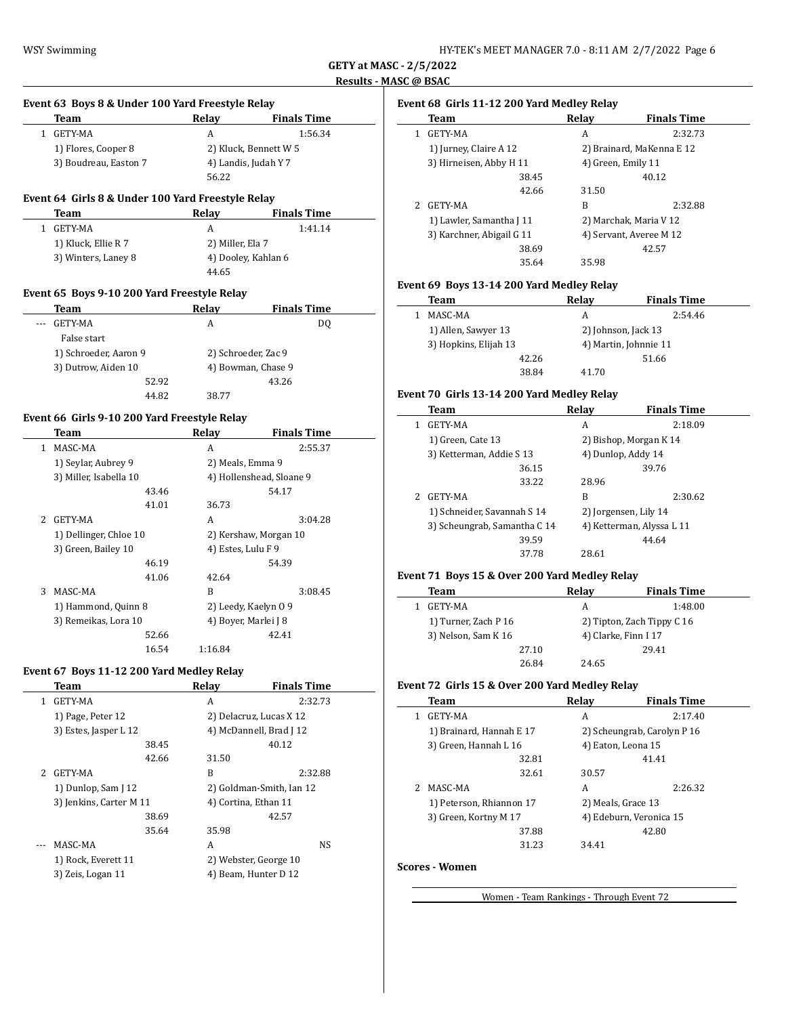$\overline{\phantom{a}}$ 

 $\overline{\phantom{a}}$ 

|              | Event 63 Boys 8 & Under 100 Yard Freestyle Relay  |       |                    |                          |
|--------------|---------------------------------------------------|-------|--------------------|--------------------------|
|              | <b>Team</b>                                       |       | Relay              | <b>Finals Time</b>       |
| $\mathbf{1}$ | <b>GETY-MA</b>                                    |       | A                  | 1:56.34                  |
|              | 1) Flores, Cooper 8                               |       |                    | 2) Kluck, Bennett W 5    |
|              | 3) Boudreau, Easton 7                             |       |                    | 4) Landis, Judah Y 7     |
|              |                                                   |       | 56.22              |                          |
|              | Event 64 Girls 8 & Under 100 Yard Freestyle Relay |       |                    |                          |
|              | <b>Team</b>                                       |       | Relay              | <b>Finals Time</b>       |
| $\mathbf{1}$ | <b>GETY-MA</b>                                    |       | A                  | 1:41.14                  |
|              | 1) Kluck, Ellie R 7                               |       | 2) Miller, Ela 7   |                          |
|              | 3) Winters, Laney 8                               |       |                    | 4) Dooley, Kahlan 6      |
|              |                                                   |       | 44.65              |                          |
|              |                                                   |       |                    |                          |
|              | Event 65 Boys 9-10 200 Yard Freestyle Relay       |       |                    |                          |
|              | Team                                              |       | Relay              | <b>Finals Time</b>       |
|              | <b>GETY-MA</b>                                    |       | A                  | DQ                       |
|              | False start                                       |       |                    |                          |
|              | 1) Schroeder, Aaron 9                             |       |                    | 2) Schroeder, Zac 9      |
|              | 3) Dutrow, Aiden 10                               |       | 4) Bowman, Chase 9 |                          |
|              |                                                   | 52.92 |                    | 43.26                    |
|              |                                                   | 44.82 | 38.77              |                          |
|              | Event 66 Girls 9-10 200 Yard Freestyle Relay      |       |                    |                          |
|              | Team                                              |       | Relay              | <b>Finals Time</b>       |
| 1            | MASC-MA                                           |       | A                  | 2:55.37                  |
|              | 1) Seylar, Aubrey 9                               |       | 2) Meals, Emma 9   |                          |
|              | 3) Miller, Isabella 10                            |       |                    | 4) Hollenshead, Sloane 9 |
|              |                                                   | 43.46 |                    | 54.17                    |
|              |                                                   | 41.01 | 36.73              |                          |
| 2            | <b>GETY-MA</b>                                    |       | A                  | 3:04.28                  |
|              | 1) Dellinger, Chloe 10                            |       |                    | 2) Kershaw, Morgan 10    |
|              | 3) Green, Bailey 10                               |       | 4) Estes, Lulu F 9 |                          |
|              |                                                   | 46.19 |                    | 54.39                    |
|              |                                                   | 41.06 | 42.64              |                          |
| 3            | MASC-MA                                           |       | B                  | 3:08.45                  |
|              | 1) Hammond, Quinn 8                               |       |                    | 2) Leedy, Kaelyn 09      |
|              | 3) Remeikas, Lora 10                              |       |                    | 4) Boyer, Marlei J 8     |
|              |                                                   | 52.66 |                    | 42.41                    |
|              |                                                   | 16.54 | 1:16.84            |                          |
|              |                                                   |       |                    |                          |

## **Event 67 Boys 11-12 200 Yard Medley Relay**

|   | Team                    | Relav | <b>Finals Time</b>       |
|---|-------------------------|-------|--------------------------|
|   | GETY-MA                 | A     | 2:32.73                  |
|   | 1) Page, Peter 12       |       | 2) Delacruz, Lucas X 12  |
|   | 3) Estes, Jasper L 12   |       | 4) McDannell, Brad J 12  |
|   | 38.45                   |       | 40.12                    |
|   | 42.66                   | 31.50 |                          |
| 2 | GETY-MA                 | B     | 2:32.88                  |
|   | 1) Dunlop, Sam J 12     |       | 2) Goldman-Smith, Ian 12 |
|   | 3) Jenkins, Carter M 11 |       | 4) Cortina, Ethan 11     |
|   | 38.69                   |       | 42.57                    |
|   | 35.64                   | 35.98 |                          |
|   | MASC-MA                 | A     | NS                       |
|   | 1) Rock, Everett 11     |       | 2) Webster, George 10    |
|   | 3) Zeis, Logan 11       |       | 4) Beam, Hunter D 12     |
|   |                         |       |                          |

# **Event 68 Girls 11-12 200 Yard Medley Relay**

|             | Team                      | Relay | <b>Finals Time</b>        |
|-------------|---------------------------|-------|---------------------------|
| 1           | GETY-MA                   | A     | 2:32.73                   |
|             | 1) Jurney, Claire A 12    |       | 2) Brainard, MaKenna E 12 |
|             | 3) Hirneisen, Abby H 11   |       | 4) Green, Emily 11        |
|             | 38.45                     |       | 40.12                     |
|             | 42.66                     | 31.50 |                           |
| $2^{\circ}$ | GETY-MA                   | B     | 2:32.88                   |
|             | 1) Lawler, Samantha J 11  |       | 2) Marchak, Maria V 12    |
|             | 3) Karchner, Abigail G 11 |       | 4) Servant, Averee M 12   |
|             | 38.69                     |       | 42.57                     |
|             | 35.64                     | 35.98 |                           |

## **Event 69 Boys 13-14 200 Yard Medley Relay**

| Team                  |       | Relav                 | <b>Finals Time</b> |
|-----------------------|-------|-----------------------|--------------------|
| MASC-MA               |       | А                     | 2:54.46            |
| 1) Allen, Sawyer 13   |       | 2) Johnson, Jack 13   |                    |
| 3) Hopkins, Elijah 13 |       | 4) Martin, Johnnie 11 |                    |
|                       | 42.26 |                       | 51.66              |
|                       | 38.84 | 41.70                 |                    |

## **Event 70 Girls 13-14 200 Yard Medley Relay**

|   | Team                         | Relay | <b>Finals Time</b>        |
|---|------------------------------|-------|---------------------------|
| 1 | <b>GETY-MA</b>               | A     | 2:18.09                   |
|   | 1) Green, Cate 13            |       | 2) Bishop, Morgan K 14    |
|   | 3) Ketterman, Addie S 13     |       | 4) Dunlop, Addy 14        |
|   | 36.15                        |       | 39.76                     |
|   | 33.22                        | 28.96 |                           |
| 2 | GETY-MA                      | B     | 2:30.62                   |
|   | 1) Schneider, Savannah S 14  |       | 2) Jorgensen, Lily 14     |
|   | 3) Scheungrab, Samantha C 14 |       | 4) Ketterman, Alyssa L 11 |
|   | 39.59                        |       | 44.64                     |
|   | 37.78                        | 28.61 |                           |
|   |                              |       |                           |

### **Event 71 Boys 15 & Over 200 Yard Medley Relay**

| Team                 |       | Relay                | <b>Finals Time</b>         |
|----------------------|-------|----------------------|----------------------------|
| GETY-MA              |       | А                    | 1:48.00                    |
| 1) Turner, Zach P 16 |       |                      | 2) Tipton, Zach Tippy C 16 |
| 3) Nelson, Sam K 16  |       | 4) Clarke, Finn I 17 |                            |
|                      | 27.10 |                      | 29.41                      |
|                      | 26.84 | 24.65                |                            |

## **Event 72 Girls 15 & Over 200 Yard Medley Relay**

| Team                     | Relay | <b>Finals Time</b>          |
|--------------------------|-------|-----------------------------|
| <b>GETY-MA</b>           | A     | 2:17.40                     |
| 1) Brainard, Hannah E 17 |       | 2) Scheungrab, Carolyn P 16 |
| 3) Green, Hannah L 16    |       | 4) Eaton, Leona 15          |
| 32.81                    |       | 41.41                       |
| 32.61                    | 30.57 |                             |
| MASC-MA                  | A     | 2:26.32                     |
| 1) Peterson, Rhiannon 17 |       | 2) Meals, Grace 13          |
| 3) Green, Kortny M 17    |       | 4) Edeburn, Veronica 15     |
| 37.88                    |       | 42.80                       |
| 31.23                    | 34.41 |                             |
|                          |       |                             |

## **Scores - Women**

Women - Team Rankings - Through Event 72